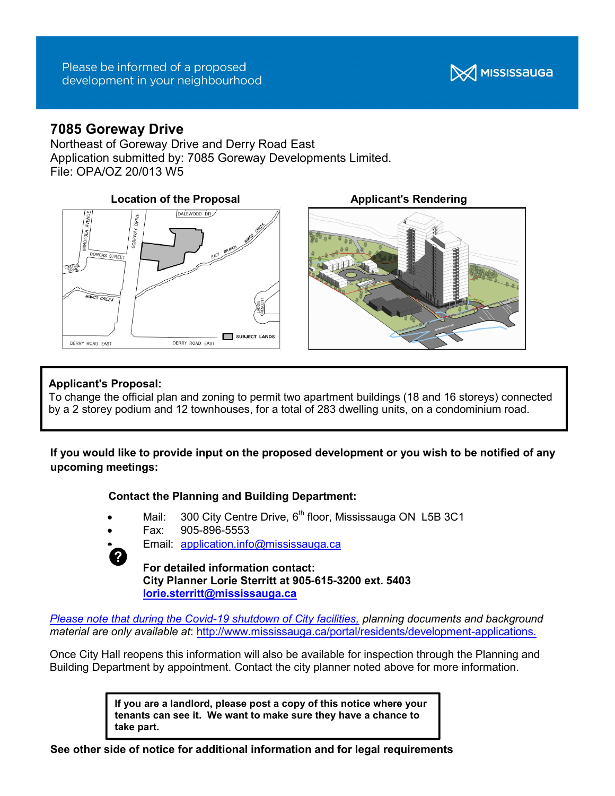

# 7085 Goreway Drive

Northeast of Goreway Drive and Derry Road East Application submitted by: 7085 Goreway Developments Limited. File: OPA/OZ 20/013 W5







## Applicant's Proposal:

To change the official plan and zoning to permit two apartment buildings (18 and 16 storeys) connected by a 2 storey podium and 12 townhouses, for a total of 283 dwelling units, on a condominium road.

If you would like to provide input on the proposed development or you wish to be notified of any upcoming meetings:

### Contact the Planning and Building Department:

- Mail: 300 City Centre Drive,  $6<sup>th</sup>$  floor, Mississauga ON L5B 3C1
- Fax: 905-896-5553
- 
- Email: application.info@mississauga.ca

For detailed information contact: City Planner Lorie Sterritt at 905-615-3200 ext. 5403 lorie.sterritt@mississauga.ca

Please note that during the Covid-19 shutdown of City facilities, planning documents and background material are only available at: http://www.mississauga.ca/portal/residents/development-applications.

Once City Hall reopens this information will also be available for inspection through the Planning and Building Department by appointment. Contact the city planner noted above for more information.

> If you are a landlord, please post a copy of this notice where your tenants can see it. We want to make sure they have a chance to take part.